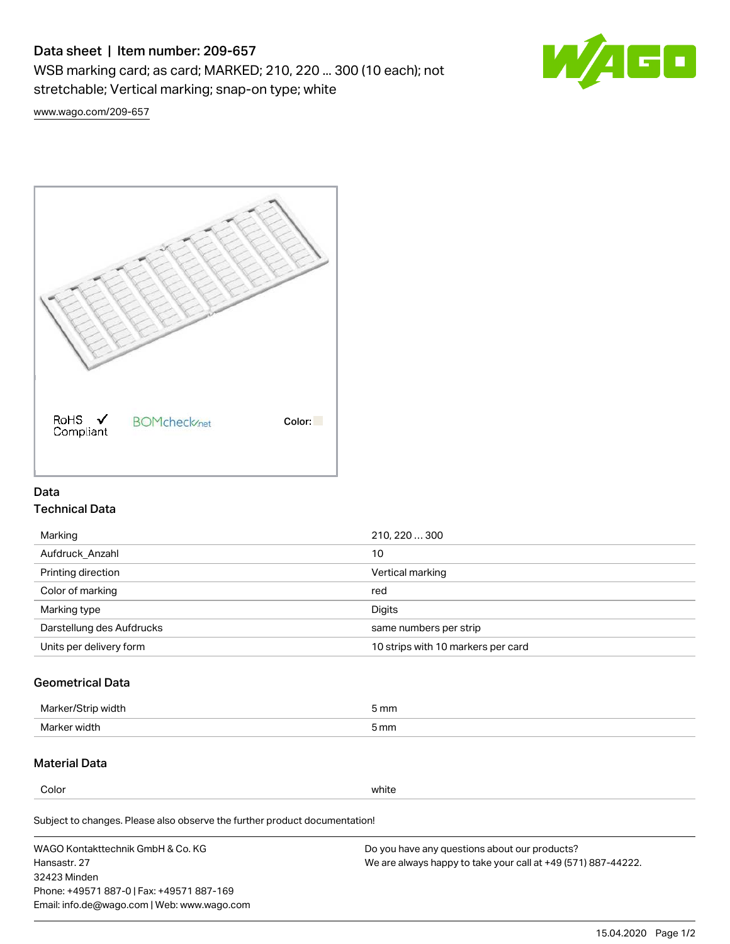# Data sheet | Item number: 209-657

WSB marking card; as card; MARKED; 210, 220 ... 300 (10 each); not stretchable; Vertical marking; snap-on type; white



[www.wago.com/209-657](http://www.wago.com/209-657)



### Data Technical Data

| Marking                   | 210, 220  300                      |
|---------------------------|------------------------------------|
| Aufdruck Anzahl           | 10                                 |
| Printing direction        | Vertical marking                   |
| Color of marking          | red                                |
| Marking type              | Digits                             |
| Darstellung des Aufdrucks | same numbers per strip             |
| Units per delivery form   | 10 strips with 10 markers per card |

# Geometrical Data

| طلقاء ئ<br><b>Marker</b><br>widtr | ັກmm |
|-----------------------------------|------|
| Marker width                      | 5 mm |

## Material Data

Color white

Subject to changes. Please also observe the further product documentation!

WAGO Kontakttechnik GmbH & Co. KG Hansastr. 27 32423 Minden Phone: +49571 887-0 | Fax: +49571 887-169 Email: info.de@wago.com | Web: www.wago.com Do you have any questions about our products? We are always happy to take your call at +49 (571) 887-44222.